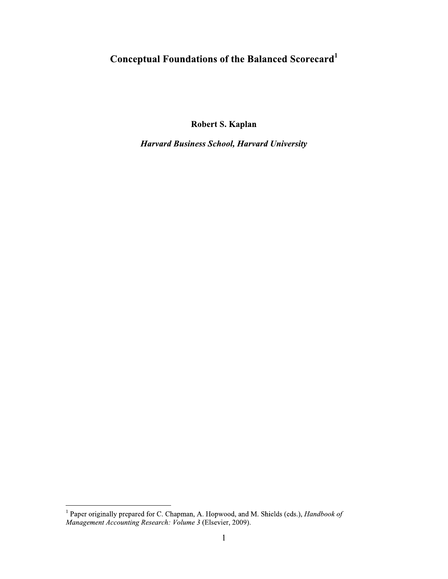# Conceptual Foundations of the Balanced Scorecard<sup>1</sup>

Robert S. Kaplan

**Harvard Business School, Harvard University** 

Paper originally prepared for C. Chapman, A. Hopwood, and M. Shields (eds.), *Handbook of Management Accounting Research: Volume 3* (Elsevier, 2009).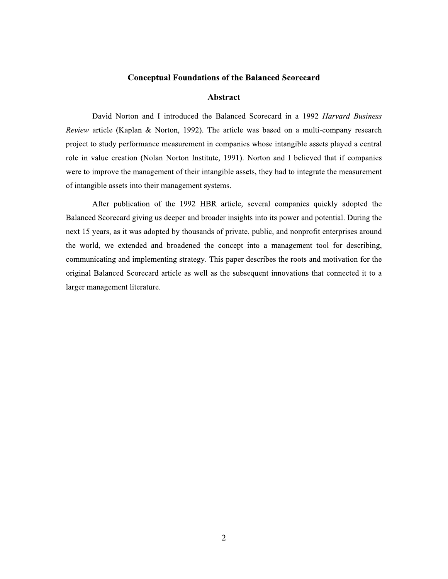#### **Conceptual Foundations of the Balanced Scorecard**

#### **Abstract**

David Norton and I introduced the Balanced Scorecard in a 1992 Harvard Business Review article (Kaplan & Norton, 1992). The article was based on a multi-company research project to study performance measurement in companies whose intangible assets played a central role in value creation (Nolan Norton Institute, 1991). Norton and I believed that if companies were to improve the management of their intangible assets, they had to integrate the measurement of intangible assets into their management systems.

After publication of the 1992 HBR article, several companies quickly adopted the Balanced Scorecard giving us deeper and broader insights into its power and potential. During the next 15 years, as it was adopted by thousands of private, public, and nonprofit enterprises around the world, we extended and broadened the concept into a management tool for describing, communicating and implementing strategy. This paper describes the roots and motivation for the original Balanced Scorecard article as well as the subsequent innovations that connected it to a larger management literature.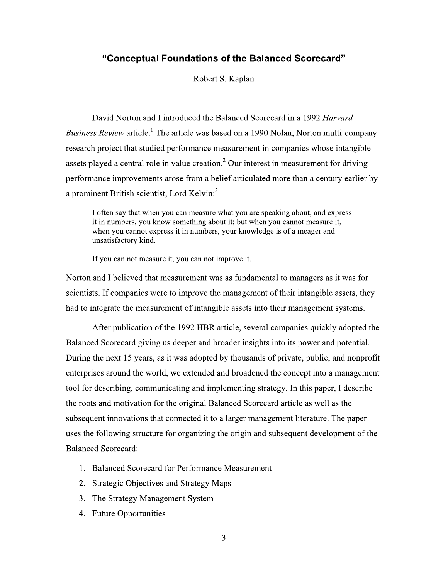## "Conceptual Foundations of the Balanced Scorecard"

Robert S. Kaplan

David Norton and I introduced the Balanced Scorecard in a 1992 Harvard Business Review article.<sup>1</sup> The article was based on a 1990 Nolan, Norton multi-company research project that studied performance measurement in companies whose intangible assets played a central role in value creation.<sup>2</sup> Our interest in measurement for driving performance improvements arose from a belief articulated more than a century earlier by a prominent British scientist, Lord Kelvin:<sup>3</sup>

I often say that when you can measure what you are speaking about, and express it in numbers, you know something about it; but when you cannot measure it, when you cannot express it in numbers, your knowledge is of a meager and unsatisfactory kind.

If you can not measure it, you can not improve it.

Norton and I believed that measurement was as fundamental to managers as it was for scientists. If companies were to improve the management of their intangible assets, they had to integrate the measurement of intangible assets into their management systems.

After publication of the 1992 HBR article, several companies quickly adopted the Balanced Scorecard giving us deeper and broader insights into its power and potential. During the next 15 years, as it was adopted by thousands of private, public, and nonprofit enterprises around the world, we extended and broadened the concept into a management tool for describing, communicating and implementing strategy. In this paper, I describe the roots and motivation for the original Balanced Scorecard article as well as the subsequent innovations that connected it to a larger management literature. The paper uses the following structure for organizing the origin and subsequent development of the **Balanced Scorecard:** 

- 1. Balanced Scorecard for Performance Measurement
- 2. Strategic Objectives and Strategy Maps
- 3. The Strategy Management System
- 4. Future Opportunities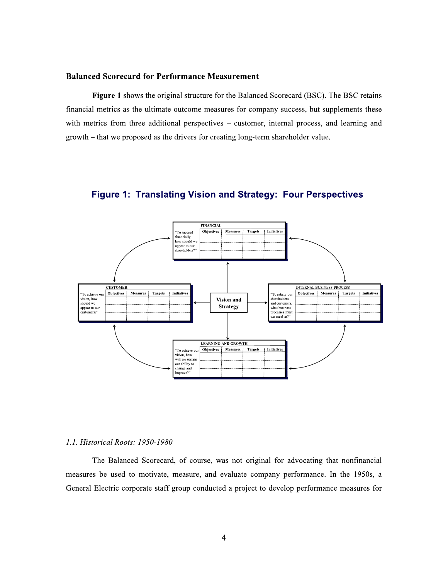#### **Balanced Scorecard for Performance Measurement**

Figure 1 shows the original structure for the Balanced Scorecard (BSC). The BSC retains financial metrics as the ultimate outcome measures for company success, but supplements these with metrics from three additional perspectives – customer, internal process, and learning and growth – that we proposed as the drivers for creating long-term shareholder value.



Figure 1: Translating Vision and Strategy: Four Perspectives

#### 1.1. Historical Roots: 1950-1980

The Balanced Scorecard, of course, was not original for advocating that nonfinancial measures be used to motivate, measure, and evaluate company performance. In the 1950s, a General Electric corporate staff group conducted a project to develop performance measures for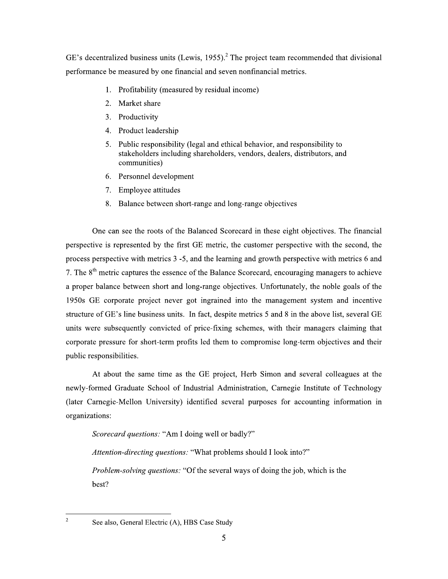GE's decentralized business units (Lewis, 1955).<sup>2</sup> The project team recommended that divisional performance be measured by one financial and seven nonfinancial metrics.

- 1. Profitability (measured by residual income)
- 2. Market share
- 3. Productivity
- 4. Product leadership
- 5. Public responsibility (legal and ethical behavior, and responsibility to stakeholders including shareholders, vendors, dealers, distributors, and communities)
- 6. Personnel development
- 7. Employee attitudes
- 8. Balance between short-range and long-range objectives

One can see the roots of the Balanced Scorecard in these eight objectives. The financial perspective is represented by the first GE metric, the customer perspective with the second, the process perspective with metrics 3 -5, and the learning and growth perspective with metrics 6 and 7. The  $8<sup>th</sup>$  metric captures the essence of the Balance Scorecard, encouraging managers to achieve a proper balance between short and long-range objectives. Unfortunately, the noble goals of the 1950s GE corporate project never got ingrained into the management system and incentive structure of GE's line business units. In fact, despite metrics 5 and 8 in the above list, several GE units were subsequently convicted of price-fixing schemes, with their managers claiming that corporate pressure for short-term profits led them to compromise long-term objectives and their public responsibilities.

At about the same time as the GE project, Herb Simon and several colleagues at the newly-formed Graduate School of Industrial Administration, Carnegie Institute of Technology (later Carnegie-Mellon University) identified several purposes for accounting information in organizations:

Scorecard questions: "Am I doing well or badly?"

Attention-directing questions: "What problems should I look into?"

Problem-solving questions: "Of the several ways of doing the job, which is the best?

 $\overline{2}$ 

See also, General Electric (A), HBS Case Study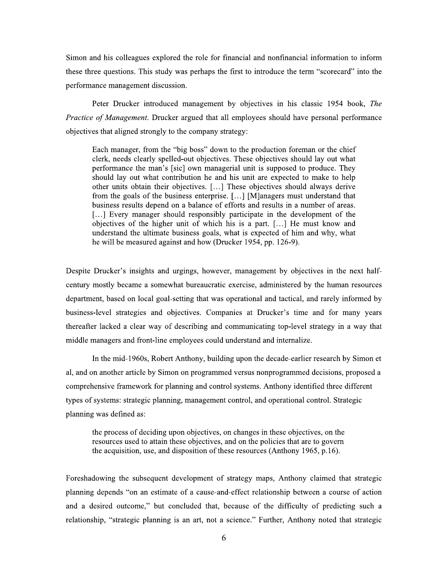Simon and his colleagues explored the role for financial and nonfinancial information to inform these three questions. This study was perhaps the first to introduce the term "scorecard" into the performance management discussion.

Peter Drucker introduced management by objectives in his classic 1954 book, The *Practice of Management.* Drucker argued that all employees should have personal performance objectives that aligned strongly to the company strategy:

Each manager, from the "big boss" down to the production foreman or the chief clerk, needs clearly spelled-out objectives. These objectives should lay out what performance the man's [sic] own managerial unit is supposed to produce. They should lay out what contribution he and his unit are expected to make to help other units obtain their objectives. [...] These objectives should always derive from the goals of the business enterprise. [...] [M] anagers must understand that business results depend on a balance of efforts and results in a number of areas. [...] Every manager should responsibly participate in the development of the objectives of the higher unit of which his is a part. [...] He must know and understand the ultimate business goals, what is expected of him and why, what he will be measured against and how (Drucker 1954, pp. 126-9).

Despite Drucker's insights and urgings, however, management by objectives in the next halfcentury mostly became a somewhat bureaucratic exercise, administered by the human resources department, based on local goal-setting that was operational and tactical, and rarely informed by business-level strategies and objectives. Companies at Drucker's time and for many years thereafter lacked a clear way of describing and communicating top-level strategy in a way that middle managers and front-line employees could understand and internalize.

In the mid-1960s, Robert Anthony, building upon the decade-earlier research by Simon et al, and on another article by Simon on programmed versus nonprogrammed decisions, proposed a comprehensive framework for planning and control systems. Anthony identified three different types of systems: strategic planning, management control, and operational control. Strategic planning was defined as:

the process of deciding upon objectives, on changes in these objectives, on the resources used to attain these objectives, and on the policies that are to govern the acquisition, use, and disposition of these resources (Anthony 1965, p.16).

Foreshadowing the subsequent development of strategy maps, Anthony claimed that strategic planning depends "on an estimate of a cause-and-effect relationship between a course of action and a desired outcome," but concluded that, because of the difficulty of predicting such a relationship, "strategic planning is an art, not a science." Further, Anthony noted that strategic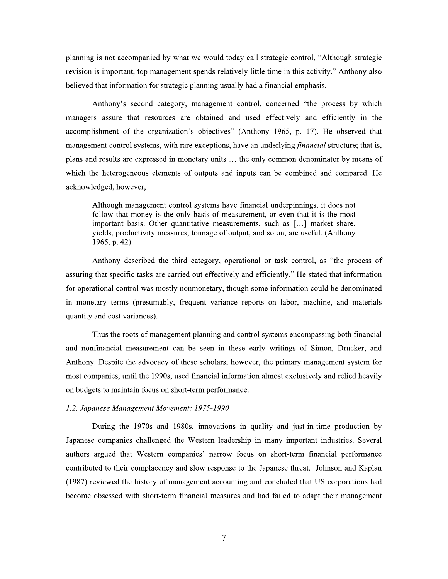planning is not accompanied by what we would today call strategic control, "Although strategic revision is important, top management spends relatively little time in this activity." Anthony also believed that information for strategic planning usually had a financial emphasis.

Anthony's second category, management control, concerned "the process by which managers assure that resources are obtained and used effectively and efficiently in the accomplishment of the organization's objectives" (Anthony 1965, p. 17). He observed that management control systems, with rare exceptions, have an underlying *financial* structure; that is, plans and results are expressed in monetary units ... the only common denominator by means of which the heterogeneous elements of outputs and inputs can be combined and compared. He acknowledged, however,

Although management control systems have financial underpinnings, it does not follow that money is the only basis of measurement, or even that it is the most important basis. Other quantitative measurements, such as [...] market share, yields, productivity measures, tonnage of output, and so on, are useful. (Anthony  $1965, p. 42)$ 

Anthony described the third category, operational or task control, as "the process of assuring that specific tasks are carried out effectively and efficiently." He stated that information for operational control was mostly nonmonetary, though some information could be denominated in monetary terms (presumably, frequent variance reports on labor, machine, and materials quantity and cost variances).

Thus the roots of management planning and control systems encompassing both financial and nonfinancial measurement can be seen in these early writings of Simon, Drucker, and Anthony. Despite the advocacy of these scholars, however, the primary management system for most companies, until the 1990s, used financial information almost exclusively and relied heavily on budgets to maintain focus on short-term performance.

#### 1.2. Japanese Management Movement: 1975-1990

During the 1970s and 1980s, innovations in quality and just-in-time production by Japanese companies challenged the Western leadership in many important industries. Several authors argued that Western companies' narrow focus on short-term financial performance contributed to their complacency and slow response to the Japanese threat. Johnson and Kaplan (1987) reviewed the history of management accounting and concluded that US corporations had become obsessed with short-term financial measures and had failed to adapt their management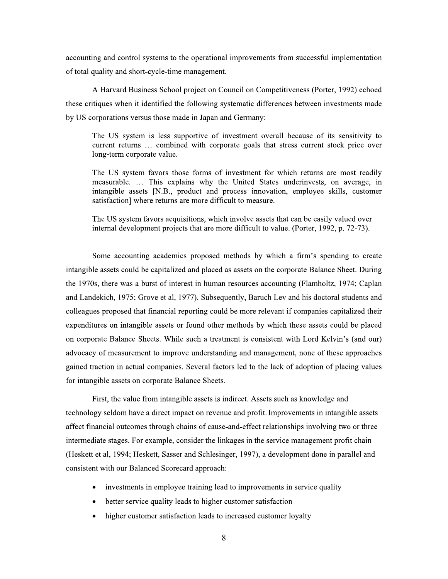accounting and control systems to the operational improvements from successful implementation of total quality and short-cycle-time management.

A Harvard Business School project on Council on Competitiveness (Porter, 1992) echoed these critiques when it identified the following systematic differences between investments made by US corporations versus those made in Japan and Germany:

The US system is less supportive of investment overall because of its sensitivity to current returns ... combined with corporate goals that stress current stock price over long-term corporate value.

The US system favors those forms of investment for which returns are most readily measurable. ... This explains why the United States underinvests, on average, in intangible assets [N.B., product and process innovation, employee skills, customer satisfaction] where returns are more difficult to measure.

The US system favors acquisitions, which involve assets that can be easily valued over internal development projects that are more difficult to value. (Porter, 1992, p. 72-73).

Some accounting academics proposed methods by which a firm's spending to create intangible assets could be capitalized and placed as assets on the corporate Balance Sheet. During the 1970s, there was a burst of interest in human resources accounting (Flamholtz, 1974; Caplan and Landekich, 1975; Grove et al, 1977). Subsequently, Baruch Lev and his doctoral students and colleagues proposed that financial reporting could be more relevant if companies capitalized their expenditures on intangible assets or found other methods by which these assets could be placed on corporate Balance Sheets. While such a treatment is consistent with Lord Kelvin's (and our) advocacy of measurement to improve understanding and management, none of these approaches gained traction in actual companies. Several factors led to the lack of adoption of placing values for intangible assets on corporate Balance Sheets.

First, the value from intangible assets is indirect. Assets such as knowledge and technology seldom have a direct impact on revenue and profit. Improvements in intangible assets affect financial outcomes through chains of cause-and-effect relationships involving two or three intermediate stages. For example, consider the linkages in the service management profit chain (Heskett et al, 1994; Heskett, Sasser and Schlesinger, 1997), a development done in parallel and consistent with our Balanced Scorecard approach:

- investments in employee training lead to improvements in service quality  $\bullet$
- better service quality leads to higher customer satisfaction
- higher customer satisfaction leads to increased customer loyalty  $\bullet$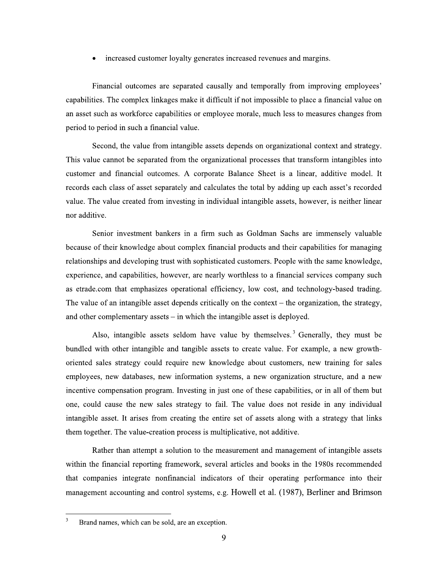increased customer loyalty generates increased revenues and margins.  $\bullet$ 

Financial outcomes are separated causally and temporally from improving employees' capabilities. The complex linkages make it difficult if not impossible to place a financial value on an asset such as workforce capabilities or employee morale, much less to measures changes from period to period in such a financial value.

Second, the value from intangible assets depends on organizational context and strategy. This value cannot be separated from the organizational processes that transform intangibles into customer and financial outcomes. A corporate Balance Sheet is a linear, additive model. It records each class of asset separately and calculates the total by adding up each asset's recorded value. The value created from investing in individual intangible assets, however, is neither linear nor additive.

Senior investment bankers in a firm such as Goldman Sachs are immensely valuable because of their knowledge about complex financial products and their capabilities for managing relationships and developing trust with sophisticated customers. People with the same knowledge, experience, and capabilities, however, are nearly worthless to a financial services company such as etrade.com that emphasizes operational efficiency, low cost, and technology-based trading. The value of an intangible asset depends critically on the context  $-$  the organization, the strategy, and other complementary assets – in which the intangible asset is deployed.

Also, intangible assets seldom have value by themselves.<sup>3</sup> Generally, they must be bundled with other intangible and tangible assets to create value. For example, a new growthoriented sales strategy could require new knowledge about customers, new training for sales employees, new databases, new information systems, a new organization structure, and a new incentive compensation program. Investing in just one of these capabilities, or in all of them but one, could cause the new sales strategy to fail. The value does not reside in any individual intangible asset. It arises from creating the entire set of assets along with a strategy that links them together. The value-creation process is multiplicative, not additive.

Rather than attempt a solution to the measurement and management of intangible assets within the financial reporting framework, several articles and books in the 1980s recommended that companies integrate nonfinancial indicators of their operating performance into their management accounting and control systems, e.g. Howell et al. (1987), Berliner and Brimson

 $\overline{\mathbf{3}}$ Brand names, which can be sold, are an exception.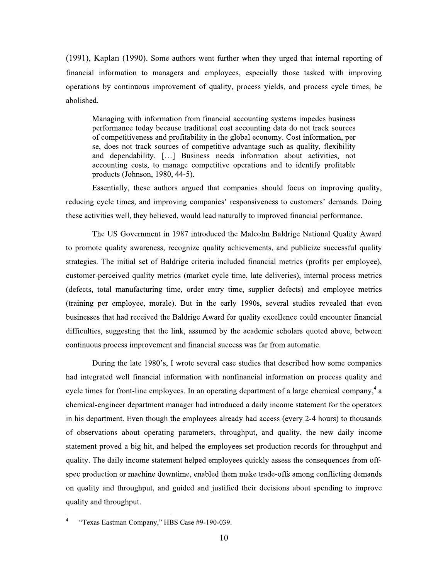(1991), Kaplan (1990). Some authors went further when they urged that internal reporting of financial information to managers and employees, especially those tasked with improving operations by continuous improvement of quality, process yields, and process cycle times, be abolished.

Managing with information from financial accounting systems impedes business performance today because traditional cost accounting data do not track sources of competitiveness and profitability in the global economy. Cost information, per se, does not track sources of competitive advantage such as quality, flexibility and dependability. [...] Business needs information about activities, not accounting costs, to manage competitive operations and to identify profitable products (Johnson, 1980, 44-5).

Essentially, these authors argued that companies should focus on improving quality, reducing cycle times, and improving companies' responsiveness to customers' demands. Doing these activities well, they believed, would lead naturally to improved financial performance.

The US Government in 1987 introduced the Malcolm Baldrige National Quality Award to promote quality awareness, recognize quality achievements, and publicize successful quality strategies. The initial set of Baldrige criteria included financial metrics (profits per employee), customer-perceived quality metrics (market cycle time, late deliveries), internal process metrics (defects, total manufacturing time, order entry time, supplier defects) and employee metrics (training per employee, morale). But in the early 1990s, several studies revealed that even businesses that had received the Baldrige Award for quality excellence could encounter financial difficulties, suggesting that the link, assumed by the academic scholars quoted above, between continuous process improvement and financial success was far from automatic.

During the late 1980's, I wrote several case studies that described how some companies had integrated well financial information with nonfinancial information on process quality and cycle times for front-line employees. In an operating department of a large chemical company,<sup>4</sup> a chemical-engineer department manager had introduced a daily income statement for the operators in his department. Even though the employees already had access (every 2-4 hours) to thousands of observations about operating parameters, throughput, and quality, the new daily income statement proved a big hit, and helped the employees set production records for throughput and quality. The daily income statement helped employees quickly assess the consequences from offspec production or machine downtime, enabled them make trade-offs among conflicting demands on quality and throughput, and guided and justified their decisions about spending to improve quality and throughput.

<sup>&</sup>quot;Texas Eastman Company," HBS Case #9-190-039.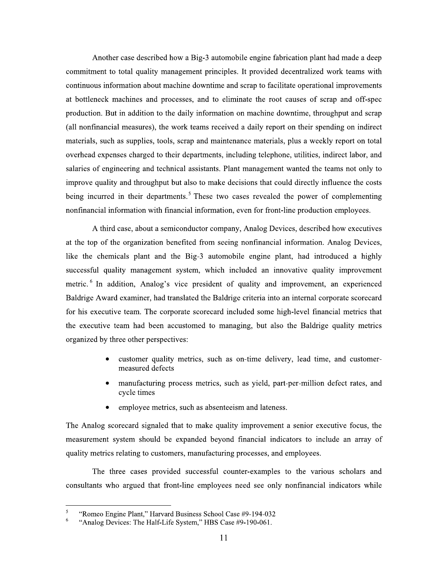Another case described how a Big-3 automobile engine fabrication plant had made a deep commitment to total quality management principles. It provided decentralized work teams with continuous information about machine downtime and scrap to facilitate operational improvements at bottleneck machines and processes, and to eliminate the root causes of scrap and off-spec production. But in addition to the daily information on machine downtime, throughput and scrap (all nonfinancial measures), the work teams received a daily report on their spending on indirect materials, such as supplies, tools, scrap and maintenance materials, plus a weekly report on total overhead expenses charged to their departments, including telephone, utilities, indirect labor, and salaries of engineering and technical assistants. Plant management wanted the teams not only to improve quality and throughput but also to make decisions that could directly influence the costs being incurred in their departments.<sup>5</sup> These two cases revealed the power of complementing nonfinancial information with financial information, even for front-line production employees.

A third case, about a semiconductor company, Analog Devices, described how executives at the top of the organization benefited from seeing nonfinancial information. Analog Devices, like the chemicals plant and the Big-3 automobile engine plant, had introduced a highly successful quality management system, which included an innovative quality improvement metric.<sup>6</sup> In addition, Analog's vice president of quality and improvement, an experienced Baldrige Award examiner, had translated the Baldrige criteria into an internal corporate scorecard for his executive team. The corporate scorecard included some high-level financial metrics that the executive team had been accustomed to managing, but also the Baldrige quality metrics organized by three other perspectives:

- customer quality metrics, such as on-time delivery, lead time, and customermeasured defects
- manufacturing process metrics, such as yield, part-per-million defect rates, and cycle times
- employee metrics, such as absenteeism and lateness.

The Analog scorecard signaled that to make quality improvement a senior executive focus, the measurement system should be expanded beyond financial indicators to include an array of quality metrics relating to customers, manufacturing processes, and employees.

The three cases provided successful counter-examples to the various scholars and consultants who argued that front-line employees need see only nonfinancial indicators while

<sup>5</sup> "Romeo Engine Plant," Harvard Business School Case #9-194-032

 $\ddot{6}$ "Analog Devices: The Half-Life System," HBS Case #9-190-061.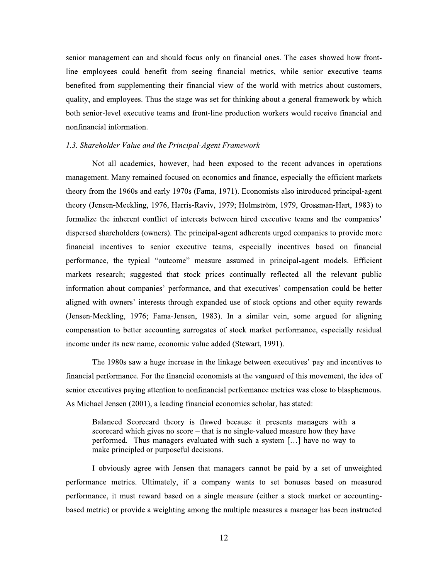senior management can and should focus only on financial ones. The cases showed how frontline employees could benefit from seeing financial metrics, while senior executive teams benefited from supplementing their financial view of the world with metrics about customers, quality, and employees. Thus the stage was set for thinking about a general framework by which both senior-level executive teams and front-line production workers would receive financial and nonfinancial information.

#### 1.3. Shareholder Value and the Principal-Agent Framework

Not all academics, however, had been exposed to the recent advances in operations management. Many remained focused on economics and finance, especially the efficient markets theory from the 1960s and early 1970s (Fama, 1971). Economists also introduced principal-agent theory (Jensen-Meckling, 1976, Harris-Raviv, 1979; Holmström, 1979, Grossman-Hart, 1983) to formalize the inherent conflict of interests between hired executive teams and the companies' dispersed shareholders (owners). The principal-agent adherents urged companies to provide more financial incentives to senior executive teams, especially incentives based on financial performance, the typical "outcome" measure assumed in principal-agent models. Efficient markets research; suggested that stock prices continually reflected all the relevant public information about companies' performance, and that executives' compensation could be better aligned with owners' interests through expanded use of stock options and other equity rewards (Jensen-Meckling, 1976; Fama-Jensen, 1983). In a similar vein, some argued for aligning compensation to better accounting surrogates of stock market performance, especially residual income under its new name, economic value added (Stewart, 1991).

The 1980s saw a huge increase in the linkage between executives' pay and incentives to financial performance. For the financial economists at the vanguard of this movement, the idea of senior executives paying attention to nonfinancial performance metrics was close to blasphemous. As Michael Jensen (2001), a leading financial economics scholar, has stated:

Balanced Scorecard theory is flawed because it presents managers with a scorecard which gives no score – that is no single-valued measure how they have performed. Thus managers evaluated with such a system [...] have no way to make principled or purposeful decisions.

I obviously agree with Jensen that managers cannot be paid by a set of unweighted performance metrics. Ultimately, if a company wants to set bonuses based on measured performance, it must reward based on a single measure (either a stock market or accountingbased metric) or provide a weighting among the multiple measures a manager has been instructed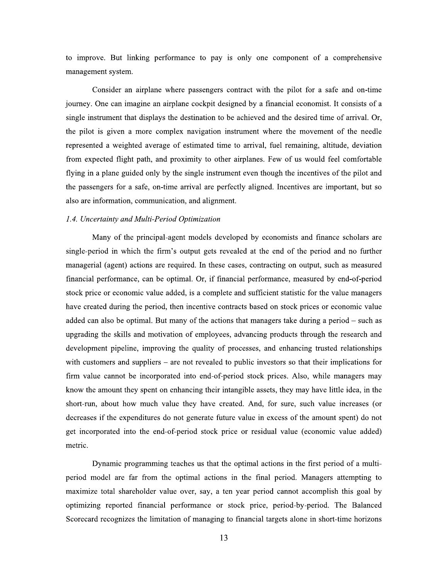to improve. But linking performance to pay is only one component of a comprehensive management system.

Consider an airplane where passengers contract with the pilot for a safe and on-time journey. One can imagine an airplane cockpit designed by a financial economist. It consists of a single instrument that displays the destination to be achieved and the desired time of arrival. Or, the pilot is given a more complex navigation instrument where the movement of the needle represented a weighted average of estimated time to arrival, fuel remaining, altitude, deviation from expected flight path, and proximity to other airplanes. Few of us would feel comfortable flying in a plane guided only by the single instrument even though the incentives of the pilot and the passengers for a safe, on-time arrival are perfectly aligned. Incentives are important, but so also are information, communication, and alignment.

#### 1.4. Uncertainty and Multi-Period Optimization

Many of the principal-agent models developed by economists and finance scholars are single-period in which the firm's output gets revealed at the end of the period and no further managerial (agent) actions are required. In these cases, contracting on output, such as measured financial performance, can be optimal. Or, if financial performance, measured by end-of-period stock price or economic value added, is a complete and sufficient statistic for the value managers have created during the period, then incentive contracts based on stock prices or economic value added can also be optimal. But many of the actions that managers take during a period – such as upgrading the skills and motivation of employees, advancing products through the research and development pipeline, improving the quality of processes, and enhancing trusted relationships with customers and suppliers  $-$  are not revealed to public investors so that their implications for firm value cannot be incorporated into end-of-period stock prices. Also, while managers may know the amount they spent on enhancing their intangible assets, they may have little idea, in the short-run, about how much value they have created. And, for sure, such value increases (or decreases if the expenditures do not generate future value in excess of the amount spent) do not get incorporated into the end-of-period stock price or residual value (economic value added) metric.

Dynamic programming teaches us that the optimal actions in the first period of a multiperiod model are far from the optimal actions in the final period. Managers attempting to maximize total shareholder value over, say, a ten year period cannot accomplish this goal by optimizing reported financial performance or stock price, period-by-period. The Balanced Scorecard recognizes the limitation of managing to financial targets alone in short-time horizons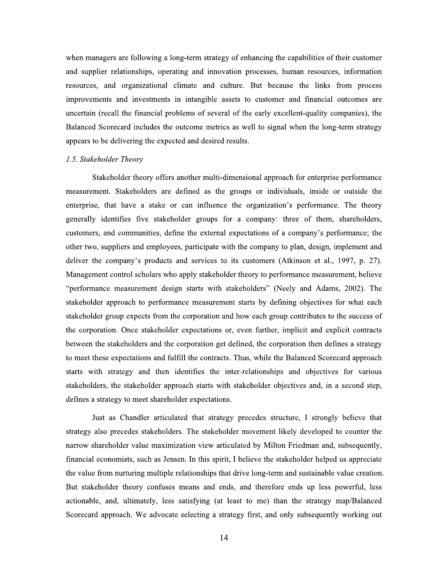when managers are following a long-term strategy of enhancing the capabilities of their customer and supplier relationships, operating and innovation processes, human resources, information resources, and organizational climate and culture. But because the links from process improvements and investments in intangible assets to customer and financial outcomes are uncertain (recall the financial problems of several of the early excellent-quality companies), the Balanced Scorecard includes the outcome metrics as well to signal when the long-term strategy appears to be delivering the expected and desired results.

#### 1.5. Stakeholder Theory

Stakeholder theory offers another multi-dimensional approach for enterprise performance measurement. Stakeholders are defined as the groups or individuals, inside or outside the enterprise, that have a stake or can influence the organization's performance. The theory generally identifies five stakeholder groups for a company: three of them, shareholders, customers, and communities, define the external expectations of a company's performance; the other two, suppliers and employees, participate with the company to plan, design, implement and deliver the company's products and services to its customers (Atkinson et al., 1997, p. 27). Management control scholars who apply stakeholder theory to performance measurement, believe "performance measurement design starts with stakeholders" (Neely and Adams, 2002). The stakeholder approach to performance measurement starts by defining objectives for what each stakeholder group expects from the corporation and how each group contributes to the success of the corporation. Once stakeholder expectations or, even further, implicit and explicit contracts between the stakeholders and the corporation get defined, the corporation then defines a strategy to meet these expectations and fulfill the contracts. Thus, while the Balanced Scorecard approach starts with strategy and then identifies the inter-relationships and objectives for various stakeholders, the stakeholder approach starts with stakeholder objectives and, in a second step, defines a strategy to meet shareholder expectations.

Just as Chandler articulated that strategy precedes structure, I strongly believe that strategy also precedes stakeholders. The stakeholder movement likely developed to counter the narrow shareholder value maximization view articulated by Milton Friedman and, subsequently, financial economists, such as Jensen. In this spirit, I believe the stakeholder helped us appreciate the value from nurturing multiple relationships that drive long-term and sustainable value creation. But stakeholder theory confuses means and ends, and therefore ends up less powerful, less actionable, and, ultimately, less satisfying (at least to me) than the strategy map/Balanced Scorecard approach. We advocate selecting a strategy first, and only subsequently working out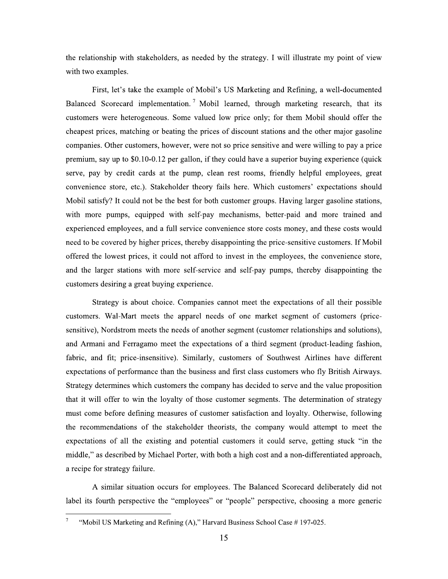the relationship with stakeholders, as needed by the strategy. I will illustrate my point of view with two examples.

First, let's take the example of Mobil's US Marketing and Refining, a well-documented Balanced Scorecard implementation.<sup>7</sup> Mobil learned, through marketing research, that its customers were heterogeneous. Some valued low price only; for them Mobil should offer the cheapest prices, matching or beating the prices of discount stations and the other major gasoline companies. Other customers, however, were not so price sensitive and were willing to pay a price premium, say up to \$0.10-0.12 per gallon, if they could have a superior buying experience (quick serve, pay by credit cards at the pump, clean rest rooms, friendly helpful employees, great convenience store, etc.). Stakeholder theory fails here. Which customers' expectations should Mobil satisfy? It could not be the best for both customer groups. Having larger gasoline stations, with more pumps, equipped with self-pay mechanisms, better-paid and more trained and experienced employees, and a full service convenience store costs money, and these costs would need to be covered by higher prices, thereby disappointing the price-sensitive customers. If Mobil offered the lowest prices, it could not afford to invest in the employees, the convenience store, and the larger stations with more self-service and self-pay pumps, thereby disappointing the customers desiring a great buying experience.

Strategy is about choice. Companies cannot meet the expectations of all their possible customers. Wal-Mart meets the apparel needs of one market segment of customers (pricesensitive), Nordstrom meets the needs of another segment (customer relationships and solutions), and Armani and Ferragamo meet the expectations of a third segment (product-leading fashion, fabric, and fit; price-insensitive). Similarly, customers of Southwest Airlines have different expectations of performance than the business and first class customers who fly British Airways. Strategy determines which customers the company has decided to serve and the value proposition that it will offer to win the loyalty of those customer segments. The determination of strategy must come before defining measures of customer satisfaction and loyalty. Otherwise, following the recommendations of the stakeholder theorists, the company would attempt to meet the expectations of all the existing and potential customers it could serve, getting stuck "in the middle," as described by Michael Porter, with both a high cost and a non-differentiated approach, a recipe for strategy failure.

A similar situation occurs for employees. The Balanced Scorecard deliberately did not label its fourth perspective the "employees" or "people" perspective, choosing a more generic

 $\bar{\tau}$ "Mobil US Marketing and Refining (A)," Harvard Business School Case #197-025.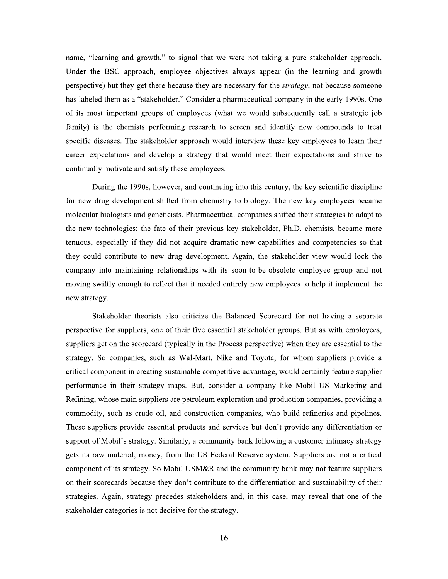name, "learning and growth," to signal that we were not taking a pure stakeholder approach. Under the BSC approach, employee objectives always appear (in the learning and growth perspective) but they get there because they are necessary for the *strategy*, not because someone has labeled them as a "stakeholder." Consider a pharmaceutical company in the early 1990s. One of its most important groups of employees (what we would subsequently call a strategic job family) is the chemists performing research to screen and identify new compounds to treat specific diseases. The stakeholder approach would interview these key employees to learn their career expectations and develop a strategy that would meet their expectations and strive to continually motivate and satisfy these employees.

During the 1990s, however, and continuing into this century, the key scientific discipline for new drug development shifted from chemistry to biology. The new key employees became molecular biologists and geneticists. Pharmaceutical companies shifted their strategies to adapt to the new technologies; the fate of their previous key stakeholder, Ph.D. chemists, became more tenuous, especially if they did not acquire dramatic new capabilities and competencies so that they could contribute to new drug development. Again, the stakeholder view would lock the company into maintaining relationships with its soon-to-be-obsolete employee group and not moving swiftly enough to reflect that it needed entirely new employees to help it implement the new strategy.

Stakeholder theorists also criticize the Balanced Scorecard for not having a separate perspective for suppliers, one of their five essential stakeholder groups. But as with employees, suppliers get on the scorecard (typically in the Process perspective) when they are essential to the strategy. So companies, such as Wal-Mart, Nike and Toyota, for whom suppliers provide a critical component in creating sustainable competitive advantage, would certainly feature supplier performance in their strategy maps. But, consider a company like Mobil US Marketing and Refining, whose main suppliers are petroleum exploration and production companies, providing a commodity, such as crude oil, and construction companies, who build refineries and pipelines. These suppliers provide essential products and services but don't provide any differentiation or support of Mobil's strategy. Similarly, a community bank following a customer intimacy strategy gets its raw material, money, from the US Federal Reserve system. Suppliers are not a critical component of its strategy. So Mobil USM&R and the community bank may not feature suppliers on their scorecards because they don't contribute to the differentiation and sustainability of their strategies. Again, strategy precedes stakeholders and, in this case, may reveal that one of the stakeholder categories is not decisive for the strategy.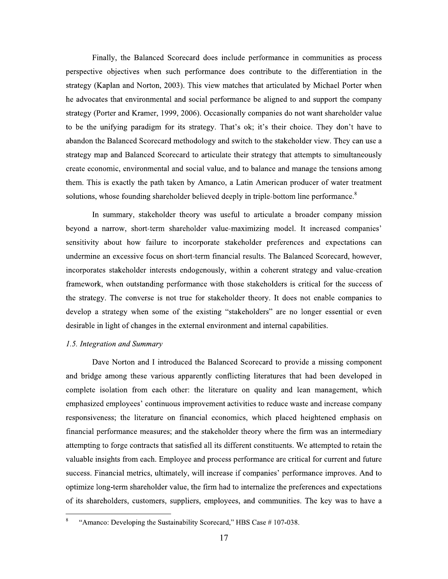Finally, the Balanced Scorecard does include performance in communities as process perspective objectives when such performance does contribute to the differentiation in the strategy (Kaplan and Norton, 2003). This view matches that articulated by Michael Porter when he advocates that environmental and social performance be aligned to and support the company strategy (Porter and Kramer, 1999, 2006). Occasionally companies do not want shareholder value to be the unifying paradigm for its strategy. That's ok; it's their choice. They don't have to abandon the Balanced Scorecard methodology and switch to the stakeholder view. They can use a strategy map and Balanced Scorecard to articulate their strategy that attempts to simultaneously create economic, environmental and social value, and to balance and manage the tensions among them. This is exactly the path taken by Amanco, a Latin American producer of water treatment solutions, whose founding shareholder believed deeply in triple-bottom line performance.<sup>8</sup>

In summary, stakeholder theory was useful to articulate a broader company mission beyond a narrow, short-term shareholder value-maximizing model. It increased companies' sensitivity about how failure to incorporate stakeholder preferences and expectations can undermine an excessive focus on short-term financial results. The Balanced Scorecard, however, incorporates stakeholder interests endogenously, within a coherent strategy and value-creation framework, when outstanding performance with those stakeholders is critical for the success of the strategy. The converse is not true for stakeholder theory. It does not enable companies to develop a strategy when some of the existing "stakeholders" are no longer essential or even desirable in light of changes in the external environment and internal capabilities.

#### 1.5. Integration and Summary

Dave Norton and I introduced the Balanced Scorecard to provide a missing component and bridge among these various apparently conflicting literatures that had been developed in complete isolation from each other: the literature on quality and lean management, which emphasized employees' continuous improvement activities to reduce waste and increase company responsiveness; the literature on financial economics, which placed heightened emphasis on financial performance measures; and the stakeholder theory where the firm was an intermediary attempting to forge contracts that satisfied all its different constituents. We attempted to retain the valuable insights from each. Employee and process performance are critical for current and future success. Financial metrics, ultimately, will increase if companies' performance improves. And to optimize long-term shareholder value, the firm had to internalize the preferences and expectations of its shareholders, customers, suppliers, employees, and communities. The key was to have a

<sup>&</sup>quot;Amanco: Developing the Sustainability Scorecard," HBS Case #107-038.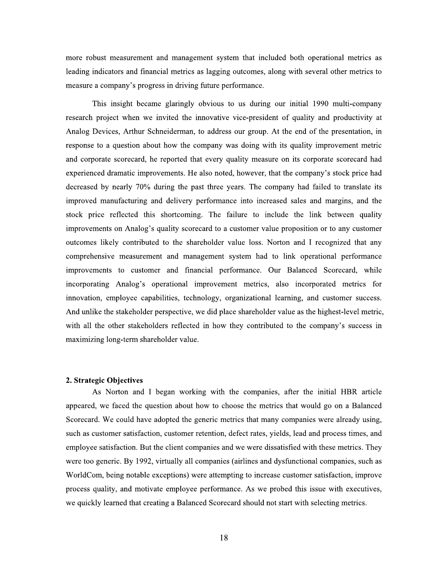more robust measurement and management system that included both operational metrics as leading indicators and financial metrics as lagging outcomes, along with several other metrics to measure a company's progress in driving future performance.

This insight became glaringly obvious to us during our initial 1990 multi-company research project when we invited the innovative vice-president of quality and productivity at Analog Devices, Arthur Schneiderman, to address our group. At the end of the presentation, in response to a question about how the company was doing with its quality improvement metric and corporate scorecard, he reported that every quality measure on its corporate scorecard had experienced dramatic improvements. He also noted, however, that the company's stock price had decreased by nearly 70% during the past three years. The company had failed to translate its improved manufacturing and delivery performance into increased sales and margins, and the stock price reflected this shortcoming. The failure to include the link between quality improvements on Analog's quality scorecard to a customer value proposition or to any customer outcomes likely contributed to the shareholder value loss. Norton and I recognized that any comprehensive measurement and management system had to link operational performance improvements to customer and financial performance. Our Balanced Scorecard, while incorporating Analog's operational improvement metrics, also incorporated metrics for innovation, employee capabilities, technology, organizational learning, and customer success. And unlike the stakeholder perspective, we did place shareholder value as the highest-level metric, with all the other stakeholders reflected in how they contributed to the company's success in maximizing long-term shareholder value.

#### 2. Strategic Objectives

As Norton and I began working with the companies, after the initial HBR article appeared, we faced the question about how to choose the metrics that would go on a Balanced Scorecard. We could have adopted the generic metrics that many companies were already using, such as customer satisfaction, customer retention, defect rates, yields, lead and process times, and employee satisfaction. But the client companies and we were dissatisfied with these metrics. They were too generic. By 1992, virtually all companies (airlines and dysfunctional companies, such as WorldCom, being notable exceptions) were attempting to increase customer satisfaction, improve process quality, and motivate employee performance. As we probed this issue with executives, we quickly learned that creating a Balanced Scorecard should not start with selecting metrics.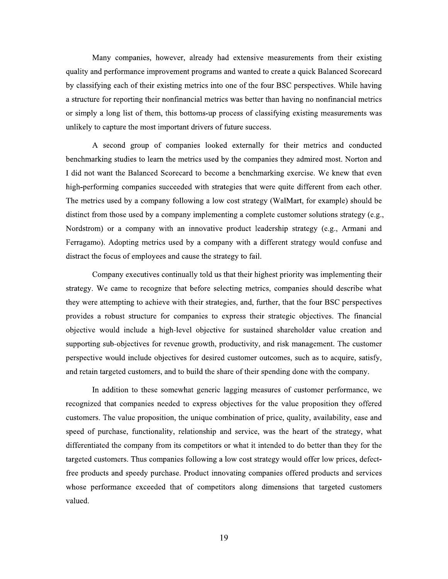Many companies, however, already had extensive measurements from their existing quality and performance improvement programs and wanted to create a quick Balanced Scorecard by classifying each of their existing metrics into one of the four BSC perspectives. While having a structure for reporting their nonfinancial metrics was better than having no nonfinancial metrics or simply a long list of them, this bottoms-up process of classifying existing measurements was unlikely to capture the most important drivers of future success.

A second group of companies looked externally for their metrics and conducted benchmarking studies to learn the metrics used by the companies they admired most. Norton and I did not want the Balanced Scorecard to become a benchmarking exercise. We knew that even high-performing companies succeeded with strategies that were quite different from each other. The metrics used by a company following a low cost strategy (WalMart, for example) should be distinct from those used by a company implementing a complete customer solutions strategy (e.g., Nordstrom) or a company with an innovative product leadership strategy (e.g., Armani and Ferragamo). Adopting metrics used by a company with a different strategy would confuse and distract the focus of employees and cause the strategy to fail.

Company executives continually told us that their highest priority was implementing their strategy. We came to recognize that before selecting metrics, companies should describe what they were attempting to achieve with their strategies, and, further, that the four BSC perspectives provides a robust structure for companies to express their strategic objectives. The financial objective would include a high-level objective for sustained shareholder value creation and supporting sub-objectives for revenue growth, productivity, and risk management. The customer perspective would include objectives for desired customer outcomes, such as to acquire, satisfy, and retain targeted customers, and to build the share of their spending done with the company.

In addition to these somewhat generic lagging measures of customer performance, we recognized that companies needed to express objectives for the value proposition they offered customers. The value proposition, the unique combination of price, quality, availability, ease and speed of purchase, functionality, relationship and service, was the heart of the strategy, what differentiated the company from its competitors or what it intended to do better than they for the targeted customers. Thus companies following a low cost strategy would offer low prices, defectfree products and speedy purchase. Product innovating companies offered products and services whose performance exceeded that of competitors along dimensions that targeted customers valued.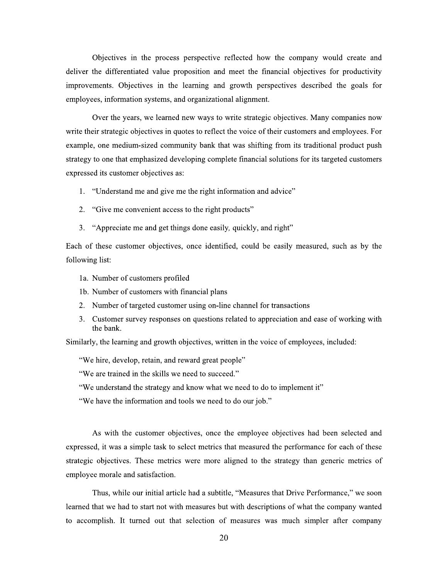Objectives in the process perspective reflected how the company would create and deliver the differentiated value proposition and meet the financial objectives for productivity improvements. Objectives in the learning and growth perspectives described the goals for employees, information systems, and organizational alignment.

Over the years, we learned new ways to write strategic objectives. Many companies now write their strategic objectives in quotes to reflect the voice of their customers and employees. For example, one medium-sized community bank that was shifting from its traditional product push strategy to one that emphasized developing complete financial solutions for its targeted customers expressed its customer objectives as:

- 1. "Understand me and give me the right information and advice"
- 2. "Give me convenient access to the right products"
- 3. "Appreciate me and get things done easily, quickly, and right"

Each of these customer objectives, once identified, could be easily measured, such as by the following list:

- 1a. Number of customers profiled
- 1b. Number of customers with financial plans
- 2. Number of targeted customer using on-line channel for transactions
- 3. Customer survey responses on questions related to appreciation and ease of working with the bank.

Similarly, the learning and growth objectives, written in the voice of employees, included:

"We hire, develop, retain, and reward great people"

"We are trained in the skills we need to succeed."

"We understand the strategy and know what we need to do to implement it"

"We have the information and tools we need to do our job."

As with the customer objectives, once the employee objectives had been selected and expressed, it was a simple task to select metrics that measured the performance for each of these strategic objectives. These metrics were more aligned to the strategy than generic metrics of employee morale and satisfaction.

Thus, while our initial article had a subtitle, "Measures that Drive Performance," we soon learned that we had to start not with measures but with descriptions of what the company wanted to accomplish. It turned out that selection of measures was much simpler after company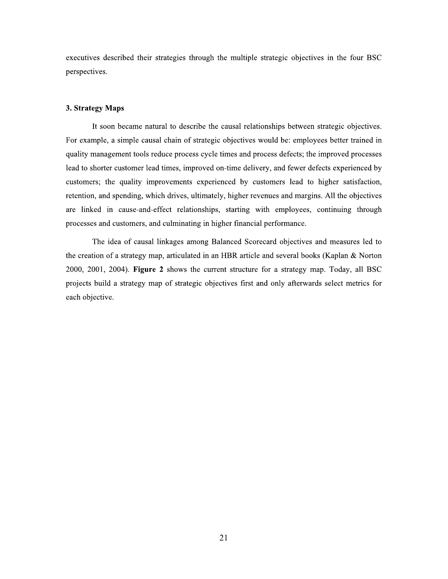executives described their strategies through the multiple strategic objectives in the four BSC perspectives.

#### 3. Strategy Maps

It soon became natural to describe the causal relationships between strategic objectives. For example, a simple causal chain of strategic objectives would be: employees better trained in quality management tools reduce process cycle times and process defects; the improved processes lead to shorter customer lead times, improved on-time delivery, and fewer defects experienced by customers; the quality improvements experienced by customers lead to higher satisfaction, retention, and spending, which drives, ultimately, higher revenues and margins. All the objectives are linked in cause-and-effect relationships, starting with employees, continuing through processes and customers, and culminating in higher financial performance.

The idea of causal linkages among Balanced Scorecard objectives and measures led to the creation of a strategy map, articulated in an HBR article and several books (Kaplan & Norton 2000, 2001, 2004). Figure 2 shows the current structure for a strategy map. Today, all BSC projects build a strategy map of strategic objectives first and only afterwards select metrics for each objective.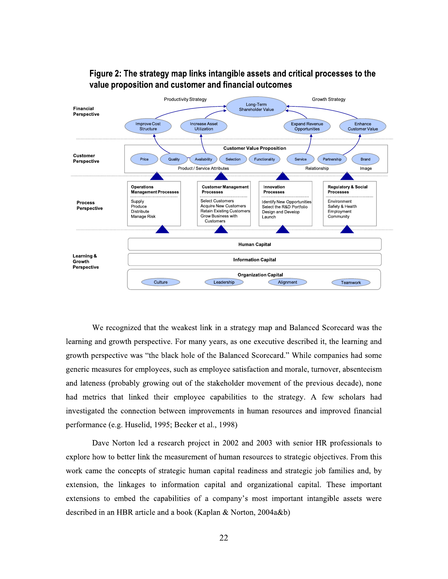

### Figure 2: The strategy map links intangible assets and critical processes to the value proposition and customer and financial outcomes

We recognized that the weakest link in a strategy map and Balanced Scorecard was the learning and growth perspective. For many years, as one executive described it, the learning and growth perspective was "the black hole of the Balanced Scorecard." While companies had some generic measures for employees, such as employee satisfaction and morale, turnover, absenteeism and lateness (probably growing out of the stakeholder movement of the previous decade), none had metrics that linked their employee capabilities to the strategy. A few scholars had investigated the connection between improvements in human resources and improved financial performance (e.g. Huselid, 1995; Becker et al., 1998)

Dave Norton led a research project in 2002 and 2003 with senior HR professionals to explore how to better link the measurement of human resources to strategic objectives. From this work came the concepts of strategic human capital readiness and strategic job families and, by extension, the linkages to information capital and organizational capital. These important extensions to embed the capabilities of a company's most important intangible assets were described in an HBR article and a book (Kaplan & Norton, 2004a&b)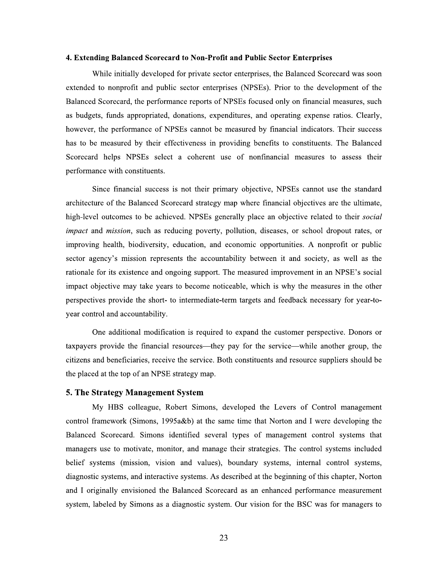#### 4. Extending Balanced Scorecard to Non-Profit and Public Sector Enterprises

While initially developed for private sector enterprises, the Balanced Scorecard was soon extended to nonprofit and public sector enterprises (NPSEs). Prior to the development of the Balanced Scorecard, the performance reports of NPSEs focused only on financial measures, such as budgets, funds appropriated, donations, expenditures, and operating expense ratios. Clearly, however, the performance of NPSEs cannot be measured by financial indicators. Their success has to be measured by their effectiveness in providing benefits to constituents. The Balanced Scorecard helps NPSEs select a coherent use of nonfinancial measures to assess their performance with constituents.

Since financial success is not their primary objective, NPSEs cannot use the standard architecture of the Balanced Scorecard strategy map where financial objectives are the ultimate, high-level outcomes to be achieved. NPSEs generally place an objective related to their social *impact* and *mission*, such as reducing poverty, pollution, diseases, or school dropout rates, or improving health, biodiversity, education, and economic opportunities. A nonprofit or public sector agency's mission represents the accountability between it and society, as well as the rationale for its existence and ongoing support. The measured improvement in an NPSE's social impact objective may take years to become noticeable, which is why the measures in the other perspectives provide the short- to intermediate-term targets and feedback necessary for year-toyear control and accountability.

One additional modification is required to expand the customer perspective. Donors or taxpayers provide the financial resources—they pay for the service—while another group, the citizens and beneficiaries, receive the service. Both constituents and resource suppliers should be the placed at the top of an NPSE strategy map.

#### **5. The Strategy Management System**

My HBS colleague, Robert Simons, developed the Levers of Control management control framework (Simons, 1995a&b) at the same time that Norton and I were developing the Balanced Scorecard. Simons identified several types of management control systems that managers use to motivate, monitor, and manage their strategies. The control systems included belief systems (mission, vision and values), boundary systems, internal control systems, diagnostic systems, and interactive systems. As described at the beginning of this chapter, Norton and I originally envisioned the Balanced Scorecard as an enhanced performance measurement system, labeled by Simons as a diagnostic system. Our vision for the BSC was for managers to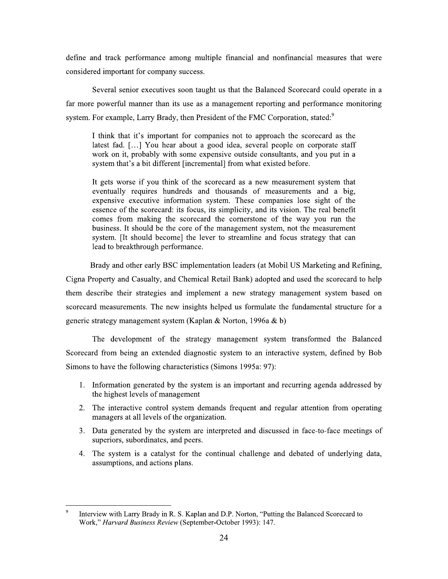define and track performance among multiple financial and nonfinancial measures that were considered important for company success.

Several senior executives soon taught us that the Balanced Scorecard could operate in a far more powerful manner than its use as a management reporting and performance monitoring system. For example, Larry Brady, then President of the FMC Corporation, stated:<sup>9</sup>

I think that it's important for companies not to approach the scorecard as the latest fad. [...] You hear about a good idea, several people on corporate staff work on it, probably with some expensive outside consultants, and you put in a system that's a bit different [incremental] from what existed before.

It gets worse if you think of the scorecard as a new measurement system that eventually requires hundreds and thousands of measurements and a big, expensive executive information system. These companies lose sight of the essence of the scorecard: its focus, its simplicity, and its vision. The real benefit comes from making the scorecard the cornerstone of the way you run the business. It should be the core of the management system, not the measurement system. [It should become] the lever to streamline and focus strategy that can lead to breakthrough performance.

Brady and other early BSC implementation leaders (at Mobil US Marketing and Refining, Cigna Property and Casualty, and Chemical Retail Bank) adopted and used the scorecard to help them describe their strategies and implement a new strategy management system based on scorecard measurements. The new insights helped us formulate the fundamental structure for a generic strategy management system (Kaplan & Norton, 1996a & b)

The development of the strategy management system transformed the Balanced Scorecard from being an extended diagnostic system to an interactive system, defined by Bob Simons to have the following characteristics (Simons 1995a: 97):

- 1. Information generated by the system is an important and recurring agenda addressed by the highest levels of management
- 2. The interactive control system demands frequent and regular attention from operating managers at all levels of the organization.
- 3. Data generated by the system are interpreted and discussed in face-to-face meetings of superiors, subordinates, and peers.
- 4. The system is a catalyst for the continual challenge and debated of underlying data, assumptions, and actions plans.

Interview with Larry Brady in R. S. Kaplan and D.P. Norton, "Putting the Balanced Scorecard to Work," Harvard Business Review (September-October 1993): 147.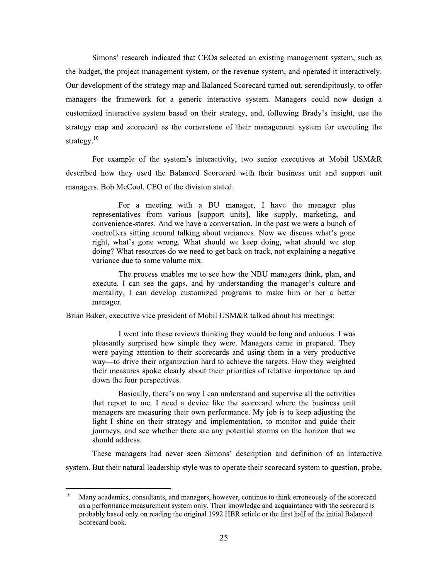Simons' research indicated that CEOs selected an existing management system, such as the budget, the project management system, or the revenue system, and operated it interactively. Our development of the strategy map and Balanced Scorecard turned out, serendipitously, to offer managers the framework for a generic interactive system. Managers could now design a customized interactive system based on their strategy, and, following Brady's insight, use the strategy map and scorecard as the cornerstone of their management system for executing the strategy. $10$ 

For example of the system's interactivity, two senior executives at Mobil USM&R described how they used the Balanced Scorecard with their business unit and support unit managers. Bob McCool, CEO of the division stated:

For a meeting with a BU manager, I have the manager plus representatives from various [support units], like supply, marketing, and convenience-stores. And we have a conversation. In the past we were a bunch of controllers sitting around talking about variances. Now we discuss what's gone right, what's gone wrong. What should we keep doing, what should we stop doing? What resources do we need to get back on track, not explaining a negative variance due to some volume mix.

The process enables me to see how the NBU managers think, plan, and execute. I can see the gaps, and by understanding the manager's culture and mentality, I can develop customized programs to make him or her a better manager.

Brian Baker, executive vice president of Mobil USM&R talked about his meetings:

I went into these reviews thinking they would be long and arduous. I was pleasantly surprised how simple they were. Managers came in prepared. They were paying attention to their scorecards and using them in a very productive way—to drive their organization hard to achieve the targets. How they weighted their measures spoke clearly about their priorities of relative importance up and down the four perspectives.

Basically, there's no way I can understand and supervise all the activities that report to me. I need a device like the scorecard where the business unit managers are measuring their own performance. My job is to keep adjusting the light I shine on their strategy and implementation, to monitor and guide their journeys, and see whether there are any potential storms on the horizon that we should address.

These managers had never seen Simons' description and definition of an interactive system. But their natural leadership style was to operate their scorecard system to question, probe,

 $10\,$ Many academics, consultants, and managers, however, continue to think erroneously of the scorecard as a performance measurement system only. Their knowledge and acquaintance with the scorecard is probably based only on reading the original 1992 HBR article or the first half of the initial Balanced Scorecard book.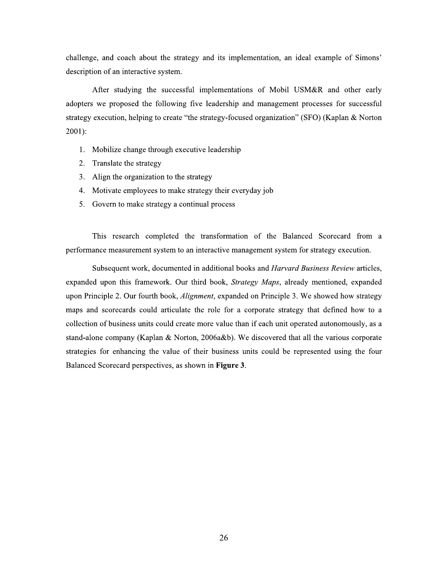challenge, and coach about the strategy and its implementation, an ideal example of Simons' description of an interactive system.

After studying the successful implementations of Mobil USM&R and other early adopters we proposed the following five leadership and management processes for successful strategy execution, helping to create "the strategy-focused organization" (SFO) (Kaplan & Norton  $2001$ :

- 1. Mobilize change through executive leadership
- 2. Translate the strategy
- 3. Align the organization to the strategy
- 4. Motivate employees to make strategy their everyday job
- 5. Govern to make strategy a continual process

This research completed the transformation of the Balanced Scorecard from a performance measurement system to an interactive management system for strategy execution.

Subsequent work, documented in additional books and *Harvard Business Review* articles, expanded upon this framework. Our third book, *Strategy Maps*, already mentioned, expanded upon Principle 2. Our fourth book, *Alignment*, expanded on Principle 3. We showed how strategy maps and scorecards could articulate the role for a corporate strategy that defined how to a collection of business units could create more value than if each unit operated autonomously, as a stand-alone company (Kaplan & Norton, 2006a&b). We discovered that all the various corporate strategies for enhancing the value of their business units could be represented using the four Balanced Scorecard perspectives, as shown in Figure 3.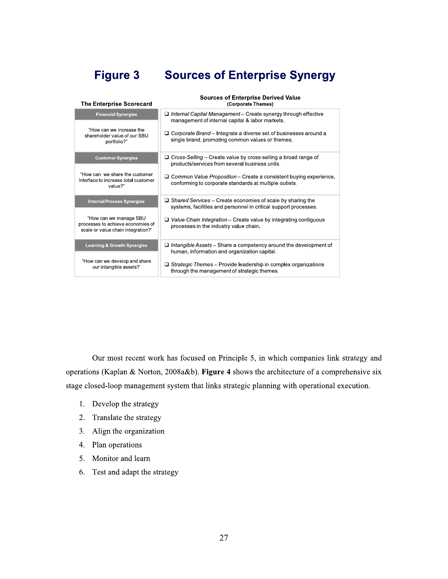# **Figure 3**

## **Sources of Enterprise Synergy**

| <b>The Enterprise Scorecard</b>                                                                   | <b>Sources of Enterprise Derived Value</b><br>(Corporate Themes)                                                                      |
|---------------------------------------------------------------------------------------------------|---------------------------------------------------------------------------------------------------------------------------------------|
| <b>Financial Synergies</b>                                                                        | $\Box$ Internal Capital Management – Create synergy through effective<br>management of internal capital & labor markets.              |
| "How can we increase the<br>shareholder value of our SBU<br>portfolio?"                           | $\Box$ Corporate Brand – Integrate a diverse set of businesses around a<br>single brand, promoting common values or themes.           |
| <b>Customer Synergies</b>                                                                         | $\Box$ Cross-Selling – Create value by cross-selling a broad range of<br>products/services from several business units.               |
| "How can we share the customer<br>Interface to increase total customer<br>value?"                 | $\Box$ Common Value Proposition - Create a consistent buying experience,<br>conforming to corporate standards at multiple outlets.    |
| <b>Internal Process Synergies</b>                                                                 | $\Box$ Shared Services – Create economies of scale by sharing the<br>systems, facilities and personnel in critical support processes. |
| "How can we manage SBU<br>processes to achieve economies of<br>scale or value chain integration?' | $\Box$ Value Chain Integration – Create value by integrating contiguous<br>processes in the industry value chain.                     |
| <b>Learning &amp; Growth Synergies</b>                                                            | $\Box$ Intangible Assets – Share a competency around the development of<br>human, information and organization capital.               |
| "How can we develop and share<br>our intangible assets?'                                          | $\Box$ Strategic Themes – Provide leadership in complex organizations<br>through the management of strategic themes.                  |

Our most recent work has focused on Principle 5, in which companies link strategy and operations (Kaplan & Norton, 2008a&b). Figure 4 shows the architecture of a comprehensive six stage closed-loop management system that links strategic planning with operational execution.

- 1. Develop the strategy
- 2. Translate the strategy
- 3. Align the organization
- 4. Plan operations
- 5. Monitor and learn
- 6. Test and adapt the strategy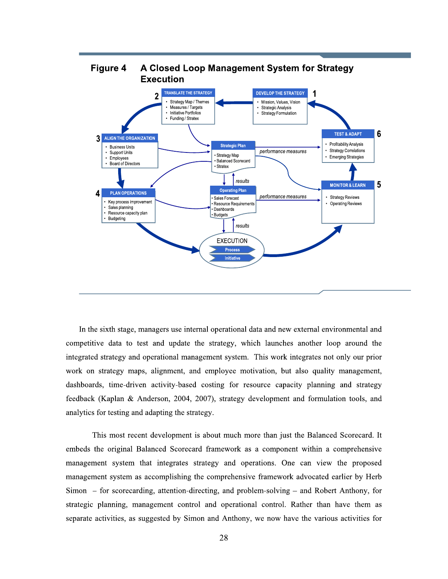

In the sixth stage, managers use internal operational data and new external environmental and competitive data to test and update the strategy, which launches another loop around the integrated strategy and operational management system. This work integrates not only our prior work on strategy maps, alignment, and employee motivation, but also quality management, dashboards, time-driven activity-based costing for resource capacity planning and strategy feedback (Kaplan & Anderson, 2004, 2007), strategy development and formulation tools, and analytics for testing and adapting the strategy.

This most recent development is about much more than just the Balanced Scorecard. It embeds the original Balanced Scorecard framework as a component within a comprehensive management system that integrates strategy and operations. One can view the proposed management system as accomplishing the comprehensive framework advocated earlier by Herb Simon – for scorecarding, attention-directing, and problem-solving – and Robert Anthony, for strategic planning, management control and operational control. Rather than have them as separate activities, as suggested by Simon and Anthony, we now have the various activities for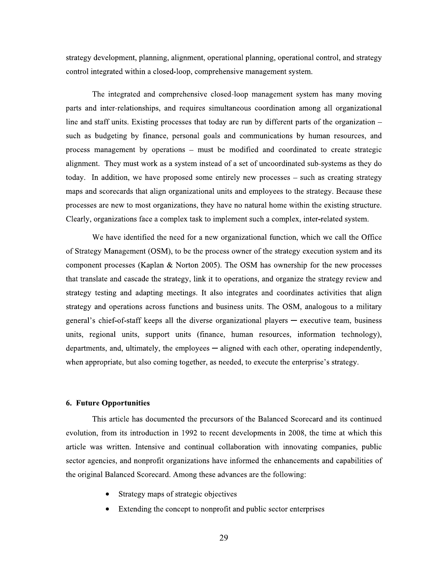strategy development, planning, alignment, operational planning, operational control, and strategy control integrated within a closed-loop, comprehensive management system.

The integrated and comprehensive closed-loop management system has many moving parts and inter-relationships, and requires simultaneous coordination among all organizational line and staff units. Existing processes that today are run by different parts of the organization  $$ such as budgeting by finance, personal goals and communications by human resources, and process management by operations – must be modified and coordinated to create strategic alignment. They must work as a system instead of a set of uncoordinated sub-systems as they do today. In addition, we have proposed some entirely new processes – such as creating strategy maps and scorecards that align organizational units and employees to the strategy. Because these processes are new to most organizations, they have no natural home within the existing structure. Clearly, organizations face a complex task to implement such a complex, inter-related system.

We have identified the need for a new organizational function, which we call the Office of Strategy Management (OSM), to be the process owner of the strategy execution system and its component processes (Kaplan & Norton 2005). The OSM has ownership for the new processes that translate and cascade the strategy, link it to operations, and organize the strategy review and strategy testing and adapting meetings. It also integrates and coordinates activities that align strategy and operations across functions and business units. The OSM, analogous to a military general's chief-of-staff keeps all the diverse organizational players  $-$  executive team, business units, regional units, support units (finance, human resources, information technology), departments, and, ultimately, the employees — aligned with each other, operating independently, when appropriate, but also coming together, as needed, to execute the enterprise's strategy.

#### **6. Future Opportunities**

This article has documented the precursors of the Balanced Scorecard and its continued evolution, from its introduction in 1992 to recent developments in 2008, the time at which this article was written. Intensive and continual collaboration with innovating companies, public sector agencies, and nonprofit organizations have informed the enhancements and capabilities of the original Balanced Scorecard. Among these advances are the following:

- Strategy maps of strategic objectives
- Extending the concept to nonprofit and public sector enterprises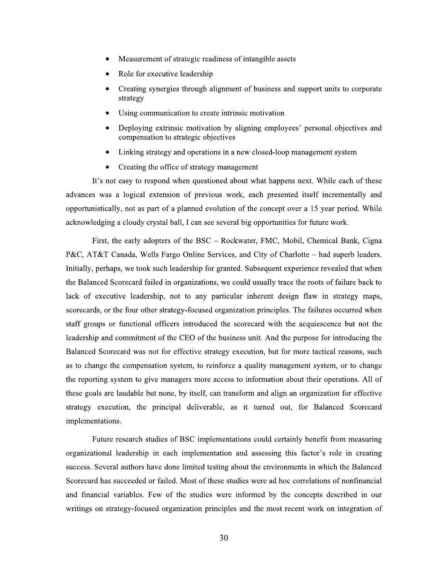- Measurement of strategic readiness of intangible assets
- Role for executive leadership
- Creating synergies through alignment of business and support units to corporate strategy
- Using communication to create intrinsic motivation
- Deploying extrinsic motivation by aligning employees' personal objectives and compensation to strategic objectives
- Linking strategy and operations in a new closed-loop management system
- Creating the office of strategy management

It's not easy to respond when questioned about what happens next. While each of these advances was a logical extension of previous work, each presented itself incrementally and opportunistically, not as part of a planned evolution of the concept over a 15 year period. While acknowledging a cloudy crystal ball, I can see several big opportunities for future work.

First, the early adopters of the BSC – Rockwater, FMC, Mobil, Chemical Bank, Cigna P&C, AT&T Canada, Wells Fargo Online Services, and City of Charlotte – had superb leaders. Initially, perhaps, we took such leadership for granted. Subsequent experience revealed that when the Balanced Scorecard failed in organizations, we could usually trace the roots of failure back to lack of executive leadership, not to any particular inherent design flaw in strategy maps, scorecards, or the four other strategy-focused organization principles. The failures occurred when staff groups or functional officers introduced the scorecard with the acquiescence but not the leadership and commitment of the CEO of the business unit. And the purpose for introducing the Balanced Scorecard was not for effective strategy execution, but for more tactical reasons, such as to change the compensation system, to reinforce a quality management system, or to change the reporting system to give managers more access to information about their operations. All of these goals are laudable but none, by itself, can transform and align an organization for effective strategy execution, the principal deliverable, as it turned out, for Balanced Scorecard implementations.

Future research studies of BSC implementations could certainly benefit from measuring organizational leadership in each implementation and assessing this factor's role in creating success. Several authors have done limited testing about the environments in which the Balanced Scorecard has succeeded or failed. Most of these studies were ad hoc correlations of nonfinancial and financial variables. Few of the studies were informed by the concepts described in our writings on strategy-focused organization principles and the most recent work on integration of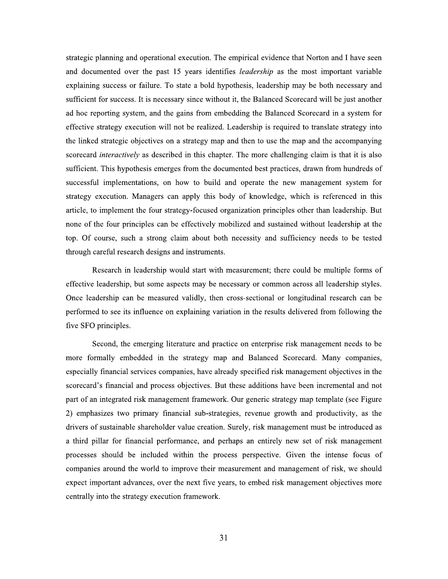strategic planning and operational execution. The empirical evidence that Norton and I have seen and documented over the past 15 years identifies leadership as the most important variable explaining success or failure. To state a bold hypothesis, leadership may be both necessary and sufficient for success. It is necessary since without it, the Balanced Scorecard will be just another ad hoc reporting system, and the gains from embedding the Balanced Scorecard in a system for effective strategy execution will not be realized. Leadership is required to translate strategy into the linked strategic objectives on a strategy map and then to use the map and the accompanying scorecard *interactively* as described in this chapter. The more challenging claim is that it is also sufficient. This hypothesis emerges from the documented best practices, drawn from hundreds of successful implementations, on how to build and operate the new management system for strategy execution. Managers can apply this body of knowledge, which is referenced in this article, to implement the four strategy-focused organization principles other than leadership. But none of the four principles can be effectively mobilized and sustained without leadership at the top. Of course, such a strong claim about both necessity and sufficiency needs to be tested through careful research designs and instruments.

Research in leadership would start with measurement; there could be multiple forms of effective leadership, but some aspects may be necessary or common across all leadership styles. Once leadership can be measured validly, then cross-sectional or longitudinal research can be performed to see its influence on explaining variation in the results delivered from following the five SFO principles.

Second, the emerging literature and practice on enterprise risk management needs to be more formally embedded in the strategy map and Balanced Scorecard. Many companies, especially financial services companies, have already specified risk management objectives in the scorecard's financial and process objectives. But these additions have been incremental and not part of an integrated risk management framework. Our generic strategy map template (see Figure 2) emphasizes two primary financial sub-strategies, revenue growth and productivity, as the drivers of sustainable shareholder value creation. Surely, risk management must be introduced as a third pillar for financial performance, and perhaps an entirely new set of risk management processes should be included within the process perspective. Given the intense focus of companies around the world to improve their measurement and management of risk, we should expect important advances, over the next five years, to embed risk management objectives more centrally into the strategy execution framework.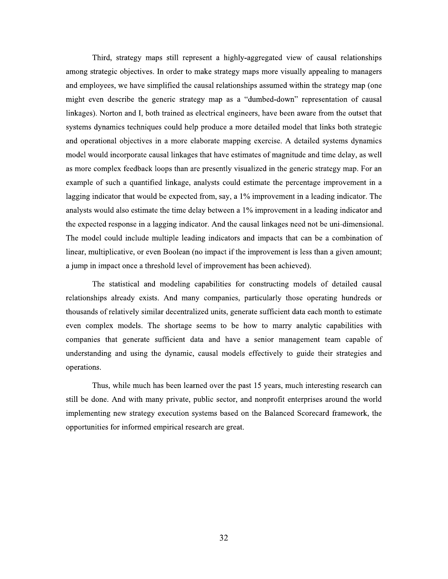Third, strategy maps still represent a highly-aggregated view of causal relationships among strategic objectives. In order to make strategy maps more visually appealing to managers and employees, we have simplified the causal relationships assumed within the strategy map (one might even describe the generic strategy map as a "dumbed-down" representation of causal linkages). Norton and I, both trained as electrical engineers, have been aware from the outset that systems dynamics techniques could help produce a more detailed model that links both strategic and operational objectives in a more elaborate mapping exercise. A detailed systems dynamics model would incorporate causal linkages that have estimates of magnitude and time delay, as well as more complex feedback loops than are presently visualized in the generic strategy map. For an example of such a quantified linkage, analysts could estimate the percentage improvement in a lagging indicator that would be expected from, say, a 1% improvement in a leading indicator. The analysts would also estimate the time delay between a 1% improvement in a leading indicator and the expected response in a lagging indicator. And the causal linkages need not be uni-dimensional. The model could include multiple leading indicators and impacts that can be a combination of linear, multiplicative, or even Boolean (no impact if the improvement is less than a given amount; a jump in impact once a threshold level of improvement has been achieved).

The statistical and modeling capabilities for constructing models of detailed causal relationships already exists. And many companies, particularly those operating hundreds or thousands of relatively similar decentralized units, generate sufficient data each month to estimate even complex models. The shortage seems to be how to marry analytic capabilities with companies that generate sufficient data and have a senior management team capable of understanding and using the dynamic, causal models effectively to guide their strategies and operations.

Thus, while much has been learned over the past 15 years, much interesting research can still be done. And with many private, public sector, and nonprofit enterprises around the world implementing new strategy execution systems based on the Balanced Scorecard framework, the opportunities for informed empirical research are great.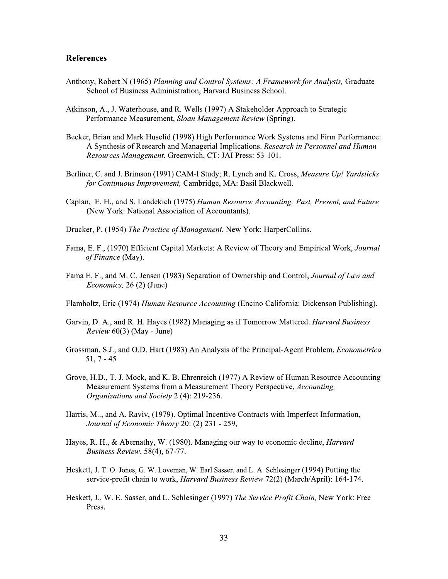#### **References**

- Anthony, Robert N (1965) Planning and Control Systems: A Framework for Analysis, Graduate School of Business Administration, Harvard Business School.
- Atkinson, A., J. Waterhouse, and R. Wells (1997) A Stakeholder Approach to Strategic Performance Measurement, Sloan Management Review (Spring).
- Becker, Brian and Mark Huselid (1998) High Performance Work Systems and Firm Performance: A Synthesis of Research and Managerial Implications. Research in Personnel and Human Resources Management. Greenwich, CT: JAI Press: 53-101.
- Berliner, C. and J. Brimson (1991) CAM-I Study; R. Lynch and K. Cross, Measure Up! Yardsticks for Continuous Improvement, Cambridge, MA: Basil Blackwell.
- Caplan, E. H., and S. Landekich (1975) Human Resource Accounting: Past, Present, and Future (New York: National Association of Accountants).
- Drucker, P. (1954) The Practice of Management, New York: HarperCollins.
- Fama, E. F., (1970) Efficient Capital Markets: A Review of Theory and Empirical Work, Journal of Finance (May).
- Fama E. F., and M. C. Jensen (1983) Separation of Ownership and Control, Journal of Law and Economics, 26 (2) (June)
- Flamholtz, Eric (1974) Human Resource Accounting (Encino California: Dickenson Publishing).
- Garvin, D. A., and R. H. Hayes (1982) Managing as if Tomorrow Mattered. Harvard Business  $Review 60(3) (May - June)$
- Grossman, S.J., and O.D. Hart (1983) An Analysis of the Principal-Agent Problem, *Econometrica*  $51, 7 - 45$
- Grove, H.D., T. J. Mock, and K. B. Ehrenreich (1977) A Review of Human Resource Accounting Measurement Systems from a Measurement Theory Perspective, Accounting, Organizations and Society 2 (4): 219-236.
- Harris, M.., and A. Raviv, (1979). Optimal Incentive Contracts with Imperfect Information, Journal of Economic Theory 20: (2) 231 - 259,
- Hayes, R. H., & Abernathy, W. (1980). Managing our way to economic decline, *Harvard* Business Review, 58(4), 67-77.
- Heskett, J. T. O. Jones, G. W. Loveman, W. Earl Sasser, and L. A. Schlesinger (1994) Putting the service-profit chain to work, *Harvard Business Review* 72(2) (March/April): 164-174.
- Heskett, J., W. E. Sasser, and L. Schlesinger (1997) The Service Profit Chain, New York: Free Press.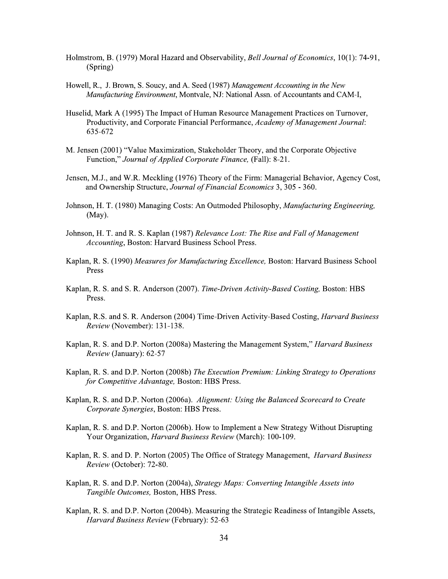- Holmstrom, B. (1979) Moral Hazard and Observability, *Bell Journal of Economics*, 10(1): 74-91, (Spring)
- Howell, R., J. Brown, S. Soucy, and A. Seed (1987) Management Accounting in the New Manufacturing Environment, Montvale, NJ: National Assn. of Accountants and CAM-I,
- Huselid, Mark A (1995) The Impact of Human Resource Management Practices on Turnover, Productivity, and Corporate Financial Performance, Academy of Management Journal: 635-672
- M. Jensen (2001) "Value Maximization, Stakeholder Theory, and the Corporate Objective Function," Journal of Applied Corporate Finance, (Fall): 8-21.
- Jensen, M.J., and W.R. Meckling (1976) Theory of the Firm: Managerial Behavior, Agency Cost, and Ownership Structure, Journal of Financial Economics 3, 305 - 360.
- Johnson, H. T. (1980) Managing Costs: An Outmoded Philosophy, Manufacturing Engineering,  $(May)$ .
- Johnson, H. T. and R. S. Kaplan (1987) Relevance Lost: The Rise and Fall of Management Accounting, Boston: Harvard Business School Press.
- Kaplan, R. S. (1990) Measures for Manufacturing Excellence, Boston: Harvard Business School Press
- Kaplan, R. S. and S. R. Anderson (2007). Time-Driven Activity-Based Costing, Boston: HBS Press.
- Kaplan, R.S. and S. R. Anderson (2004) Time-Driven Activity-Based Costing, *Harvard Business* Review (November): 131-138.
- Kaplan, R. S. and D.P. Norton (2008a) Mastering the Management System," Harvard Business Review (January): 62-57
- Kaplan, R. S. and D.P. Norton (2008b) The Execution Premium: Linking Strategy to Operations for Competitive Advantage, Boston: HBS Press.
- Kaplan, R. S. and D.P. Norton (2006a). Alignment: Using the Balanced Scorecard to Create Corporate Synergies, Boston: HBS Press.
- Kaplan, R. S. and D.P. Norton (2006b). How to Implement a New Strategy Without Disrupting Your Organization, *Harvard Business Review* (March): 100-109.
- Kaplan, R. S. and D. P. Norton (2005) The Office of Strategy Management, *Harvard Business* Review (October): 72-80.
- Kaplan, R. S. and D.P. Norton (2004a), Strategy Maps: Converting Intangible Assets into Tangible Outcomes, Boston, HBS Press.
- Kaplan, R. S. and D.P. Norton (2004b). Measuring the Strategic Readiness of Intangible Assets, Harvard Business Review (February): 52-63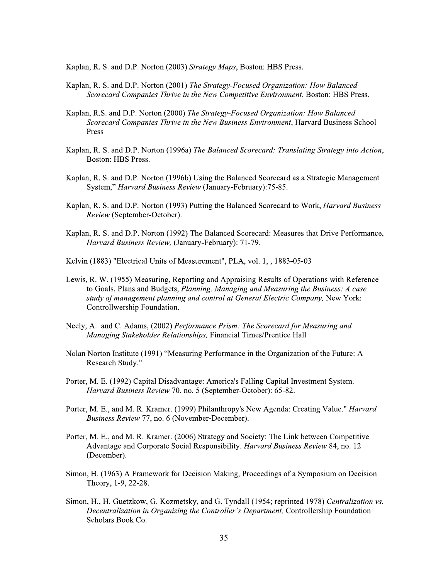Kaplan, R. S. and D.P. Norton (2003) Strategy Maps, Boston: HBS Press.

- Kaplan, R. S. and D.P. Norton (2001) The Strategy-Focused Organization: How Balanced Scorecard Companies Thrive in the New Competitive Environment, Boston: HBS Press.
- Kaplan, R.S. and D.P. Norton (2000) The Strategy-Focused Organization: How Balanced Scorecard Companies Thrive in the New Business Environment, Harvard Business School Press
- Kaplan, R. S. and D.P. Norton (1996a) The Balanced Scorecard: Translating Strategy into Action, Boston: HBS Press.
- Kaplan, R. S. and D.P. Norton (1996b) Using the Balanced Scorecard as a Strategic Management System," Harvard Business Review (January-February):75-85.
- Kaplan, R. S. and D.P. Norton (1993) Putting the Balanced Scorecard to Work, *Harvard Business* Review (September-October).
- Kaplan, R. S. and D.P. Norton (1992) The Balanced Scorecard: Measures that Drive Performance, Harvard Business Review, (January-February): 71-79.
- Kelvin (1883) "Electrical Units of Measurement", PLA, vol. 1, , 1883-05-03
- Lewis, R. W. (1955) Measuring, Reporting and Appraising Results of Operations with Reference to Goals, Plans and Budgets, Planning, Managing and Measuring the Business: A case study of management planning and control at General Electric Company, New York: Controllwership Foundation.
- Neely, A. and C. Adams, (2002) Performance Prism: The Scorecard for Measuring and Managing Stakeholder Relationships, Financial Times/Prentice Hall
- Nolan Norton Institute (1991) "Measuring Performance in the Organization of the Future: A Research Study."
- Porter, M. E. (1992) Capital Disadvantage: America's Falling Capital Investment System. Harvard Business Review 70, no. 5 (September-October): 65-82.
- Porter, M. E., and M. R. Kramer. (1999) Philanthropy's New Agenda: Creating Value." *Harvard* Business Review 77, no. 6 (November-December).
- Porter, M. E., and M. R. Kramer. (2006) Strategy and Society: The Link between Competitive Advantage and Corporate Social Responsibility. Harvard Business Review 84, no. 12 (December).
- Simon, H. (1963) A Framework for Decision Making, Proceedings of a Symposium on Decision Theory, 1-9, 22-28.
- Simon, H., H. Guetzkow, G. Kozmetsky, and G. Tyndall (1954; reprinted 1978) Centralization vs. Decentralization in Organizing the Controller's Department, Controllership Foundation Scholars Book Co.